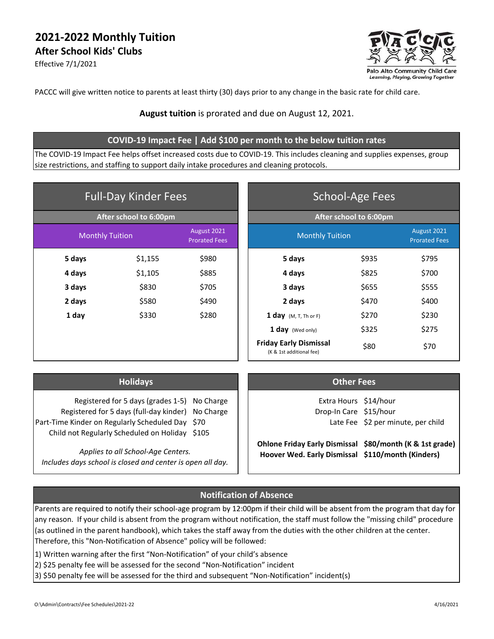# **2021‐2022 Monthly Tuition After School Kids' Clubs**

Effective 7/1/2021



PACCC will give written notice to parents at least thirty (30) days prior to any change in the basic rate for child care.

#### **August tuition** is prorated and due on August 12, 2021.

#### **COVID‐19 Impact Fee | Add \$100 per month to the below tuition rates**

The COVID‐19 Impact Fee helps offset increased costs due to COVID‐19. This includes cleaning and supplies expenses, group size restrictions, and staffing to support daily intake procedures and cleaning protocols.

| <b>Full-Day Kinder Fees</b> |         | <b>School-Age Fees</b>              |                                                           |       |                                     |
|-----------------------------|---------|-------------------------------------|-----------------------------------------------------------|-------|-------------------------------------|
| After school to 6:00pm      |         |                                     | After school to 6:00pm                                    |       |                                     |
| <b>Monthly Tuition</b>      |         | August 2021<br><b>Prorated Fees</b> | <b>Monthly Tuition</b>                                    |       | August 2021<br><b>Prorated Fees</b> |
| 5 days                      | \$1,155 | \$980                               | 5 days                                                    | \$935 | \$795                               |
| 4 days                      | \$1,105 | \$885                               | 4 days                                                    | \$825 | \$700                               |
| 3 days                      | \$830   | \$705                               | 3 days                                                    | \$655 | \$555                               |
| 2 days                      | \$580   | \$490                               | 2 days                                                    | \$470 | \$400                               |
| 1 day                       | \$330   | \$280                               | 1 day $(M, T, Th \text{ or } F)$                          | \$270 | \$230                               |
|                             |         |                                     | 1 day (Wed only)                                          | \$325 | \$275                               |
|                             |         |                                     | <b>Friday Early Dismissal</b><br>(K & 1st additional fee) | \$80  | \$70                                |

| <b>Holidays</b> |
|-----------------|
|-----------------|

| Registered for 5 days (grades 1-5) No Charge      |  |
|---------------------------------------------------|--|
| Registered for 5 days (full-day kinder) No Charge |  |
| Part-Time Kinder on Regularly Scheduled Day \$70  |  |
| Child not Regularly Scheduled on Holiday \$105    |  |

*Includes days school is closed and center is open all day.*

#### **Other Fees**

Extra Hours \$14/hour Drop-In Care \$15/hour Late Fee \$2 per minute, per child

Ohlone Friday Early Dismissal \$80/month (K & 1st grade) Applies to all School-Age Centers.<br> **Hoover Wed. Early Dismissal** \$110/month (Kinders)

### **Notification of Absence**

Parents are required to notify their school‐age program by 12:00pm if their child will be absent from the program that day for any reason. If your child is absent from the program without notification, the staff must follow the "missing child" procedure (as outlined in the parent handbook), which takes the staff away from the duties with the other children at the center. Therefore, this "Non‐Notification of Absence" policy will be followed:

1) Written warning after the first "Non‐Notification" of your child's absence

- 2) \$25 penalty fee will be assessed for the second "Non-Notification" incident
- 3) \$50 penalty fee will be assessed for the third and subsequent "Non‐Notification" incident(s)